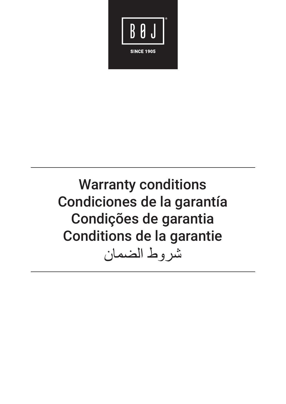

**Warranty conditions** Condiciones de la garantía Condições de garantia Conditions de la garantie شر وط الضمان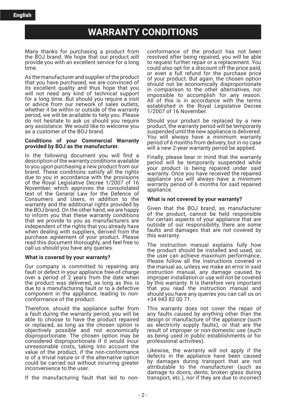## **WARRANTY CONDITIONS**

Many thanks for purchasing a product from the BOJ brand. We hope that our product will provide you with an excellent service for a long time.

As the manufacturer and supplier of the product that you have purchased, we are convinced of its excellent quality and thus hope that you will not need any kind of technical support for a long time. But should you require a visit or advice from our network of sales outlets, whether it be within or outside of the warranty period, we will be available to help you. Please do not hesitate to ask us should you require any assistance. We would like to welcome you as a customer of the BOJ brand.

#### **Conditions of your Commercial Warranty provided by BOJ as the manufacturer.**

In the following document you will find a description of the warranty conditions available to you upon purchasing a new product from our brand. These conditions satisfy all the rights due to you in accordance with the provisions of the Royal Legislative Decree 1/2007 of 16 November, which approves the consolidated text of the General Law for the Defence of Consumers and Users, in addition to the warranty and the additional rights provided by the BOJ brand. On the other hand, we are happy to inform you that these warranty conditions that we provide to you as manufacturers are independent of the rights that you already have when dealing with suppliers, derived from the purchase agreement of your product. Please read this document thoroughly, and feel free to call us should you have any queries.

## **What is covered by your warranty?**

Our company is committed to repairing any fault or defect in your appliance free-of-charge over a period of 2 years from the date when the product was delivered, as long as this is due to a manufacturing fault or to a defective component in the appliance, leading to nonconformance of the product.

Therefore, should the appliance suffer from a fault during the warranty period, you will be able to choose to have the product repaired or replaced, as long as the chosen option is objectively possible and not economically disproportionate. The chosen option may be considered disproportionate if it would incur unreasonable costs, taking into account the value of the product, if the non-conformance is of a trivial nature or if the alternative option could be carried out without incurring greater inconvenience to the user.

If the manufacturing fault that led to non-

conformance of the product has not been resolved after being repaired, you will be able to request further repair or a replacement. You could also opt for a discount off the price paid, or even a full refund for the purchase price of your product. But again, the chosen option should not be economically disproportionate in comparison to the other alternatives, nor impossible to accomplish for any reason. All of this is in accordance with the terms established in the Royal Legislative Decree 1/2007 of 16 November.

Should your product be replaced by a new product, the warranty period will be temporarily suspended until the new appliance is delivered. You will always have a minimum warranty period of 6 months from delivery, but in no case will a new 2-year warranty period be applied.

Finally, please bear in mind that the warranty period will be temporarily suspended while your product is being repaired under said warranty. Once you have received the repaired appliance you will always have a minimum warranty period of 6 months for said repaired appliance.

## **What is not covered by your warranty?**

Given that the BOJ brand, as manufacturer of the product, cannot be held responsible for certain aspects of your appliance that are outside of our responsibility, there are some faults and damages that are not covered by this warranty.

The instruction manual explains fully how the product should be installed and used, so the user can achieve maximum performance. Please follow all the instructions covered in the manual as, unless we make an error in said instruction manual, any damage caused by improper installation or use will not be covered by this warranty. It is therefore very important that you read the instruction manual and should you have any queries you can call us on +34 943 82 00 71.

This warranty does not cover the repair of any faults caused by anything other than the design or manufacture of the appliance (such as electricity supply faults), or that are the result of improper or non-domestic use (such as being used in public establishments or for professional activities).

Likewise, the warranty will not apply if the defects in the appliance have been caused by damages during transport that are not attributable to the manufacturer (such as damage to doors, dents, broken glass during transport, etc.), nor if they are due to incorrect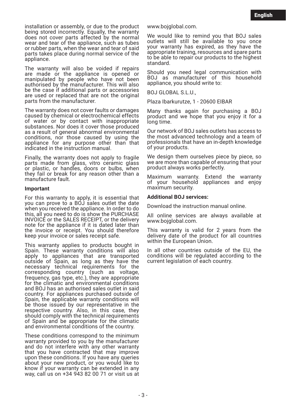installation or assembly, or due to the product being stored incorrectly. Equally, the warranty does not cover parts affected by the normal wear and tear of the appliance, such as tubes or rubber parts, when the wear and tear of said parts takes place during normal service of the .<br>appliance.

The warranty will also be voided if repairs are made or the appliance is opened or manipulated by people who have not been authorised by the manufacturer. This will also be the case if additional parts or accessories are used or replaced that are not the original parts from the manufacturer.

The warranty does not cover faults or damages caused by chemical or electrochemical effects of water or by contact with inappropriate substances. Nor does it cover those produced as a result of general abnormal environmental conditions, nor those caused by using the appliance for any purpose other than that indicated in the instruction manual.

Finally, the warranty does not apply to fragile parts made from glass, vitro ceramic glass or plastic, or handles, doors or bulbs, when they fail or break for any reason other than a manufacture fault.

### **Important**

For this warranty to apply, it is essential that you can prove to a BOJ sales outlet the date when you received the appliance. In order to do this, all you need to do is show the PURCHASE INVOICE or the SALES RECEIPT, or the delivery note for the appliance if it is dated later than the invoice or receipt. You should therefore keep your invoice or sales receipt safe.

This warranty applies to products bought in Spain. These warranty conditions will also apply to appliances that are transported outside of Spain, as long as they have the necessary technical requirements for the corresponding country (such as voltage, frequency, gas type, etc.), they are appropriate for the climatic and environmental conditions and BOJ has an authorised sales outlet in said country. For appliances purchased outside of Spain, the applicable warranty conditions will be those issued by our representative in the respective country. Also, in this case, they should comply with the technical requirements of Spain and be appropriate for the climatic and environmental conditions of the country.

These conditions correspond to the minimum warranty provided to you by the manufacturer and do not interfere with any other warranty that you have contracted that may improve upon these conditions. If you have any queries about your new product, or you would like to know if your warranty can be extended in any way, call us on +34 943 82 00 71 or visit us at www.bojglobal.com.

We would like to remind you that BOJ sales outlets will still be available to you once your warranty has expired, as they have the appropriate training, resources and spare parts to be able to repair our products to the highest standard.

Should you need legal communication with BOJ as manufacturer of this household appliance, you should write to:

BOJ GLOBAL S.L.U.,

Plaza Ibarkurutze, 1 - 20600 EIBAR

Many thanks again for purchasing a BOJ product and we hope that you enjoy it for a long time.

Our network of BOJ sales outlets has access to the most advanced technology and a team of professionals that have an in-depth knowledge of your products.

We design them ourselves piece by piece, so we are more than capable of ensuring that your product always works perfectly.

Maximum warranty. Extend the warranty of your household appliances and enjoy maximum security.

## **Additional BOJ services:**

Download the instruction manual online.

All online services are always available at www.bojglobal.com.

This warranty is valid for 2 years from the delivery date of the product for all countries within the European Union.

In all other countries outside of the EU, the conditions will be regulated according to the current legislation of each country.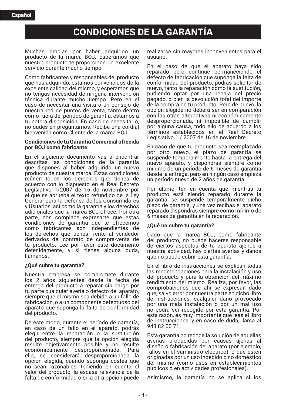## **CONDICIONES DE LA GARANTÕA**

Muchas gracias por haber adquirido un producto de la marca BOJ. Esperamos que nuestro producto te proporcione un excelente servicio durante mucho tiempo.

Como fabricantes y responsables del producto que has adquirido, estamos convencidos de la excelente calidad del mismo, y esperamos que no tengas necesidad de ninguna intervención técnica durante mucho tiempo. Pero en el caso de necesitar una visita o un consejo de nuestra red de puntos de venta, tanto dentro como fuera del período de garantía, estamos a tu entera disposición. En caso de necesitarlo, no dudes en preguntarnos. Recibe una cordial bienvenida como Cliente de la marca BOJ.

### **Condiciones de tu Garantía Comercial ofrecida por BOJ como fabricante.**

En el siguiente documento vas a encontrar descritas las condiciones de la garantía que dispones al haber adquirido un nuevo producto de nuestra marca. Estas condiciones reúnen todos los derechos que tienes de acuerdo con lo dispuesto en el Real Decreto Legislativo 1/2007 de 16 de noviembre por el que se aprueba el texto refundido de la Ley General para la Defensa de los Consumidores y Usuarios, así como la garantía y los derechos adicionales que la marca BOJ ofrece. Por otra parte, nos complace expresarte que estas condiciones de garantía que te ofrecemos como fabricantes son independientes de los derechos que tienes frente al vendedor derivados del contrato de compra-venta de tu producto. Lee por favor este documento detenidamente, y si tienes alguna duda, llámanos.

## **øQuÈ cubre tu garantÌa?**

Nuestra empresa se compromete durante los 2 años siguientes desde la fecha de entrega del producto a reparar sin cargo por tu parte cualquier avería o defecto del aparato, siempre que el mismo sea debido a un fallo de fabricación, o a un componente defectuoso del aparato que suponga la falta de conformidad del producto.

De este modo, durante el período de garantía, en caso de un fallo en el aparato, podrás elegir entre la reparación o la sustitución del producto, siempre que la opción elegida resulte objetivamente posible y no resulte económicamente desproporcionada. ello, se considerará desproporcionada la opción elegida, cuando suponga costes que no sean razonables, teniendo en cuenta el valor del producto, la escasa relevancia de la falta de conformidad o si la otra opción puede realizarse sin mayores inconvenientes para el usuario.

En el caso de que el aparato haya sido reparado pero continúe permaneciendo el defecto de fabricación que suponga la falta de conformidad del producto, podrás solicitar de nuevo, tanto la reparación como la sustitución, pudiendo optar por una rebaja del precio pagado, o bien la devolución total del importe de la compra de tu producto. Pero de nuevo, la opción elegida no deberá ser en comparación con las otras alternativas ni económicamente desproporcionada, ni imposible de cumplir por alguna causa, todo ello de acuerdo a los términos establecidos en el Real Decreto Legislativo 1 / 2007 de 16 de noviembre.

En caso de que tu producto sea reemplazado por otro nuevo, el plazo de garantía se suspende temporalmente hasta la entrega del nuevo aparato, y dispondrás siempre como mínimo de un período de 6 meses de garantía desde la entrega, pero en ningún caso empieza un período nuevo de 2 años de garantía.

Por último, ten en cuenta que mientras tu producto está siendo reparado durante la garantía, se suspende temporalmente dicho plazo de garantía, y una vez recibas el aparato reparado dispondrás siempre como mínimo de 6 meses de garantía en la reparación.

## **øQuÈ no cubre tu garantÌa?**

Dado que la marca BOJ, como fabricante del producto, no puede hacerse responsable de ciertos aspectos de tu aparato ajenos a nuestra actividad, hay ciertas averías y daños que no puede cubrir esta garantía.

En el libro de instrucciones se explican todas las recomendaciones para la instalación y uso del producto y para la obtención del máximo rendimiento del mismo. Realiza, por favor, las comprobaciones que ahí se expresan dado que, salvo error por nuestra parte en dicho libro de instrucciones, cualquier daño provocado por una mala instalación o por un mal uso no podrá ser recogido por esta garantía. Por esta razón, es muy importante que leas el libro de instrucciones, y en caso de duda, llama al 943 82 00 71.

Esta garantía no recoge la solución de aquellas averías producidas por causas ajenas al diseño o fabricación del aparato (por ejemplo, fallos en el suministro eléctrico), o que estén originadas por un uso indebido o no domÈstico del mismo (como usos en establecimientos p˙blicos o en actividades profesionales).

Asimismo, la garantía no se aplica si los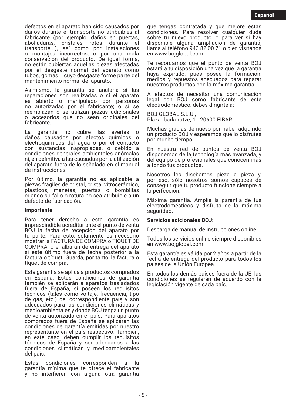defectos en el aparato han sido causados por daños durante el transporte no atribuibles al fabricante (por ejemplo, daños en puertas, abolladuras, cristales rotos durante el transporte...), asÌ como por instalaciones o montajes incorrectos, o por una mala conservación del producto. De igual forma, no están cubiertas aquellas piezas afectadas por el desgaste normal del aparato como tubos, gomas... cuyo desgaste forme parte del mantenimiento normal del aparato.

Asimismo, la garantía se anularía si las reparaciones son realizadas o si el aparato es abierto o manipulado por personas no autorizadas por el fabricante; o si se reemplazan o se utilizan piezas adicionales o accesorios que no sean originales del fabricante.

La garantía no cubre las averías o daños causados por efectos químicos o electroquímicos del agua o por el contacto con sustancias inapropiadas, o debido a condiciones generales ambientales anómalas ni, en definitiva a las causadas por la utilización del aparato fuera de lo señalado en el manual de instrucciones.

Por último, la garantía no es aplicable a piezas frágiles de cristal, cristal vitrocerámico, plásticos, manetas, puertas o bombillas cuando su fallo o rotura no sea atribuible a un defecto de fabricación.

## **Importante**

Para tener derecho a esta garantía es imprescindible acreditar ante el punto de venta BOJ la fecha de recepción del aparato por tu parte. Para esto, solamente es necesario mostrar la FACTURA DE COMPRA o TIQUET DE COMPRA, o el albarán de entrega del aparato si este ˙ltimo fuera de fecha posterior a la factura o tíquet. Guarda, por tanto, la factura o tíquet de compra.

Esta garantía se aplica a productos comprados en España. Estas condiciones de garantía también se aplicarán a aparatos trasladados fuera de España, si poseen los requisitos técnicos (tales como voltaje, frecuencia, tipo de gas, etc.) del correspondiente país y son adecuados para las condiciones climáticas y medioambientales y donde BOJ tenga un punto de venta autorizado en el país. Para aparatos comprados fuera de España se aplicarán las condiciones de garantía emitidas por nuestro representante en el país respectivo. También, en este caso, deben cumplir los requisitos técnicos de España y ser adecuados a las condiciones climáticas y medioambientales del país.

Estas condiciones corresponden a la garantía mínima que te ofrece el fabricante y no interfieren con alguna otra garantía que tengas contratada y que mejore estas condiciones. Para resolver cualquier duda sobre tu nuevo producto, o para ver si hay disponible alguna ampliación de garantía, llama al teléfono 943 82 00 71 o bien visítanos en www.bojglobal.com

Te recordamos que el punto de venta BOJ estará a tu disposición una vez que la garantía haya expirado, pues posee la formación, medios y repuestos adecuados para reparar nuestros productos con la máxima garantía.

A efectos de necesitar una comunicación<br>legal con BOJ como fabricante de este electrodomÈstico, debes dirigirte a:

BOJ GLOBAL S.L.U., Plaza Ibarkurutze, 1 - 20600 EIBAR

Muchas gracias de nuevo por haber adquirido un producto BOJ y esperamos que lo disfrutes por mucho tiempo.

En nuestra red de puntos de venta BOJ disponemos de la tecnología más avanzada, y del equipo de profesionales que conocen más a fondo tus productos.

Nosotros los diseñamos pieza a pieza y, por eso, sÛlo nosotros somos capaces de conseguir que tu producto funcione siempre a la perfección.

Máxima garantía. Amplía la garantía de tus electrodomésticos y disfruta de la máxima seguridad.

## **Servicios adicionales BOJ:**

Descarga de manual de instrucciones online.

Todos los servicios online siempre disponibles en www.bojglobal.com

Esta garantía es válida por 2 años a partir de la fecha de entrega del producto para todos los países de la Unión Europea.

En todos los demás países fuera de la UE, las condiciones se regularán de acuerdo con la legislación vigente de cada país.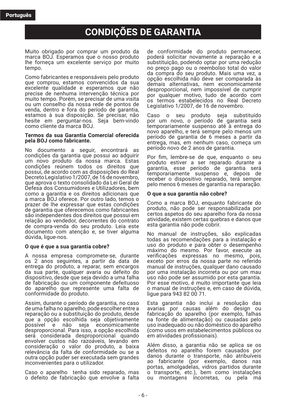# **CONDIÇÕES DE GARANTIA**

Muito obrigado por comprar um produto da marca BOJ. Esperamos que o nosso produto lhe forneca um excelente serviço por muito tempo.

Como fabricantes e responsáveis pelo produto que comprou, estamos convencidos da sua excelente qualidade e esperamos que não precise de nenhuma intervenção técnica por muito tempo. Porém, se precisar de uma visita ou um conselho da nossa rede de pontos de venda, dentro e fora do período de garantia, estamos à sua disposição. Se precisar, não hesite em perguntar-nos. Seja bem-vindo como cliente da marca BOJ.

#### **Termos da sua Garantia Comercial oferecida pela BOJ como fabricante.**

No documento a seguir, encontrará as condições da garantia que possui ao adquirir um novo produto da nossa marca. Estas condições reúnem todos os direitos que possui, de acordo com as disposições do Real Decreto Legislativo 1/2007, de 16 de novembro, que aprova o texto consolidado da Lei Geral de Defesa dos Consumidores e Utilizadores, bem como a garantia e os direitos adicionais que a marca BOJ oferece. Por outro lado, temos o prazer de lhe expressar que estas condições de garantia que oferecemos como fabricantes são independentes dos direitos que possui em relação ao vendedor, decorrentes do contrato de compra-venda do seu produto. Leia este documento com atenção e, se tiver alguma dúvida, ligue-nos.

## **O que È que a sua garantia cobre?**

A nossa empresa compromete-se, durante os 2 anos seguintes, a partir da data de entrega do produto, a reparar, sem encargos da sua parte, qualquer avaria ou defeito do dispositivo, desde que seja devido a uma falha de fabricação ou um componente defeituoso do aparelho que represente uma falta de conformidade do produto.

Assim, durante o período de garantia, no caso de uma falha no aparelho, pode escolher entre a reparação ou a substituição do produto, desde que a opção escolhida seja objetivamente<br>possível e não seja economicamente seja economicamente desproporcional. Para isso, a opção escolhida será considerada desproporcional quando envolver custos não razoáveis, levando em consideração o valor do produto, a baixa relevância da falta de conformidade ou se a outra opção puder ser executada sem grandes inconvenientes para o utilizador.

Caso o aparelho tenha sido reparado, mas o defeito de fabricação que envolve a falta de conformidade do produto permanecer, poderá solicitar novamente a reparação e a substituição, podendo optar por uma redução no preço pago ou o reembolso total do valor da compra do seu produto. Mais uma vez, a opção escolhida não deve ser comparada às demais alternativas, nem economicamente desproporcional, nem impossível de cumprir por qualquer motivo, tudo de acordo com os termos estabelecidos no Real Decreto Legislativo 1/2007, de 16 de novembro.

Caso o seu produto seja substituído por um novo, o período de garantia será temporariamente suspenso até à entrega do novo aparelho, e terá sempre pelo menos um perÌodo de garantia de 6 meses a partir da entrega, mas, em nenhum caso, começa um período novo de 2 anos de garantia.

Por fim, lembre-se de que, enquanto o seu produto estiver a ser reparado durante a garantia, esse período de garantia será temporariamente suspenso e, depois de receber o dispositivo reparado, terá sempre pelo menos 6 meses de garantia na reparação.

## **O que a sua garantia não cobre?**

Como a marca BOJ, enquanto fabricante do produto, não pode ser responsabilizada por certos aspetos do seu aparelho fora da nossa atividade, existem certas quebras e danos que esta garantia não pode cobrir.

No manual de instruções, são explicadas todas as recomendações para a instalação e uso do produto e para obter o desempenho máximo do mesmo. Por favor, execute as verificações expressas no mesmo, pois, exceto por erros da nossa parte no referido manual de instruções, qualquer dano causado por uma instalação incorreta ou por um mau uso não pode ser assumido por esta garantia. Por esse motivo, é muito importante que leia o manual de instruções e, em caso de dúvida, ligue para 943 82 00 71.

Esta garantia não inclui a resolução das avarias por causas além do design ou fabricação do aparelho (por exemplo, falhas na fonte de alimentação) ou causadas pelo uso inadequado ou não doméstico do aparelho (como usos em estabelecimentos públicos ou em atividades profissionais).

Além disso, a garantia não se aplica se os defeitos no aparelho forem causados por danos durante o transporte, não atribuíveis ao fabricante (por exemplo, danos nas portas, amolgadelas, vidros partidos durante o transporte, etc.), bem como instalações ou montagens incorretas, ou pela má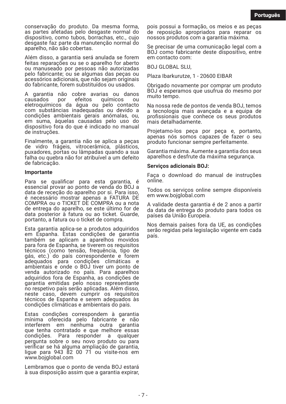conservação do produto. Da mesma forma. as partes afetadas pelo desgaste normal do dispositivo, como tubos, borrachas, etc., cujo desgaste faz parte da manutenção normal do aparelho, não são cobertas.

Além disso, a garantia será anulada se forem feitas reparações ou se o aparelho for aberto ou manuseado por pessoas não autorizadas pelo fabricante; ou se algumas das peças ou acessórios adicionais, que não sejam originais do fabricante, forem substituídos ou usados.

A garantia não cobre avarias ou danos<br>causados por efeitos químicos ou químicos ou eletroquímicos da água ou pelo contacto com substâncias inadequadas ou devido a condições ambientais gerais anómalas, ou, em suma, àquelas causadas pelo uso do dispositivo fora do que é indicado no manual de instruções.

Finalmente, a garantia não se aplica a peças de vidro frágeis, vitrocerâmica, plásticos, puxadores, portas ou lâmpadas quando a sua falha ou quebra não for atribuível a um defeito de fabricação.

#### **Importante**

Para se qualificar para esta garantia, é essencial provar ao ponto de venda do BOJ a data de receção do aparelho por si. Para isso, é necessário mostrar apenas a FATURA DE COMPRA ou o TICKET DE COMPRA ou a nota de entrega do aparelho, se este ˙ltimo for de data posterior à fatura ou ao ticket. Guarde, portanto, a fatura ou o ticket de compra.

Esta garantia aplica-se a produtos adquiridos em Espanha. Estas condições de garantia também se aplicam a aparelhos movidos para fora de Espanha, se tiverem os requisitos técnicos (como tensão, frequência, tipo de gás, etc.) do país correspondente e forem adequados para condições climáticas e ambientais e onde o BOJ tiver um ponto de venda autorizado no país. Para aparelhos adquiridos fora de Espanha, as condições de garantia emitidas pelo nosso representante no respetivo país serão aplicadas. Além disso, neste caso, devem cumprir os requisitos<br>técnicos de Espanha e serem adequados às condições climáticas e ambientais do país.

Estas condições correspondem à garantia mínima oferecida pelo fabricante e não interferem em nenhuma outra garantia que tenha contratado e que melhore essas condições. Para responder a qualquer pergunta sobre o seu novo produto ou para verificar se há alguma ampliação de garantia, ligue para 943 82 00 71 ou visite-nos em www.bojglobal.com

Lembramos que o ponto de venda BOJ estará à sua disposição assim que a garantia expirar, pois possui a formação, os meios e as peças de reposição apropriados para reparar os nossos produtos com a garantia máxima.

Se precisar de uma comunicação legal com a BOJ como fabricante deste dispositivo, entre em contacto com:

BOJ GLOBAL SLU,

Plaza Ibarkurutze, 1 - 20600 EIBAR

Obrigado novamente por comprar um produto BOJ e esperamos que usufrua do mesmo por muito tempo.

Na nossa rede de pontos de venda BOJ, temos a tecnologia mais avancada e a equipa de profissionais que conhece os seus produtos mais detalhadamente.

Projetamo-los peca por peca e, portanto, apenas nós somos capazes de fazer o seu produto funcionar sempre perfeitamente.

Garantia máxima. Aumente a garantia dos seus aparelhos e desfrute da máxima segurança.

### Servicos adicionais **BOJ**:

Faça o download do manual de instruções online.

Todos os serviços online sempre disponíveis em www.bojglobal.com

A validade desta garantia é de 2 anos a partir da data de entrega do produto para todos os países da União Europeia.

Nos demais países fora da UE, as condições serão regidas pela legislação vigente em cada país.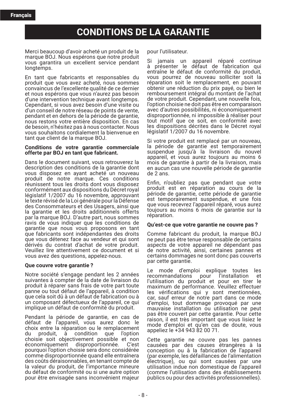## **CONDITIONS DE LA GARANTIE**

Merci beaucoup d'avoir acheté un produit de la marque BOJ. Nous espérons que notre produit vous garantira un excellent service pendant longtemps.

En tant que fabricants et responsables du produit que vous avez acheté, nous sommes convaincus de l'excellente qualité de ce dernier et nous espérons que vous n'aurez pas besoin d'une intervention technique avant longtemps. Cependant, si vous avez besoin d'une visite ou d'un conseil de notre réseau de points de vente. pendant et en dehors de la période de garantie. nous restons votre entière disposition. En cas de besoin, n'hésitez pas à nous contacter. Nous vous souhaitons cordialement la bienvenue en tant que client de la marque BOJ.

## Conditions de votre garantie commerciale offerte par BOJ en tant que fabricant.

Dans le document suivant, vous retrouverez la description des conditions de la garantie dont vous disposez en ayant acheté un nouveau produit de notre marque. Ces conditions réunissent tous les droits dont vous disposez conformément aux dispositions du Décret roval législatif 1/2007 du 16 novembre, approuvant le texte révisé de la Loi générale pour la Défense des Consommateurs et des Usagers, ainsi que la garantie et les droits additionnels offerts par la marque BOJ. D'autre part, nous sommes ravis de vous indiquer que les conditions de garantie que nous vous proposons en tant<br>que fabricants sont indépendantes des droits que vous détenez face au vendeur et qui sont dérivés du contrat d'achat de votre produit. Veuillez lire attentivement ce document et si vous avez des questions, appelez-nous.

## Que couvre votre garantie?

Notre société s'engage pendant les 2 années suivantes à compter de la date de livraison du produit à réparer sans frais de votre part toute panne ou tout défaut de l'appareil, à condition que cela soit dû à un défaut de fabrication ou à un composant défectueux de l'appareil, ce qui implique un défaut de conformité du produit.

Pendant la période de garantie, en cas de défaut de l'appareil, vous aurez donc le choix entre la réparation ou le remplacement d۱۱ produit, à condition que l'option choisie soit objectivement possible et non économiquement disproportionnée. C'est pourquoi l'option choisie sera donc considérée comme disproportionnée quand elle entraînera des coûts déraisonnables, en tenant compte de la valeur du produit, de l'importance mineure du défaut de conformité ou si une autre option pour être envisagée sans inconvénient majeur

pour l'utilisateur.

Si jamais un appareil réparé continue à présenter le défaut de fabrication qui entraîne le défaut de conformité du produit, vous pourrez de nouveau solliciter soit la réparation soit le remplacement, en pouvant obtenir une réduction du prix pavé, ou bien le remboursement intégral du montant de l'achat de votre produit. Cependant, une nouvelle fois, l'option choisie ne doit pas être en comparaison avec d'autres possibilités, ni économiquement disproportionnée, ni impossible à réaliser pour tout motif que ce soit, en conformité avec les dispositions décrites dans le Décret royal législatif 1/2007 du 16 novembre.

Si votre produit est remplacé par un nouveau. la période de garantie est temporairement suspendue jusqu'à la livraison du nouvel appareil, et vous aurez toujours au moins 6 mois de garantie à partir de la livraison, mais en aucun cas une nouvelle période de garantie  $de$  2 ans.

Enfin, n'oubliez pas que pendant que votre produit est en réparation au cours de la période de garantie, cette période de garantie est temporairement suspendue, et une fois que vous recevrez l'appareil réparé, vous aurez toujours au moins 6 mois de garantie sur la réparation.

## Ou'est-ce que votre garantie ne couvre pas?

Comme fabricant du produit, la marque BOJ ne peut pas être tenue responsable de certains aspects de votre appareil ne dépendant pas de notre activité, ainsi, certaines pannes et certains dommages ne sont donc pas couverts par cette garantie.

Le mode d'emploi explique toutes les recommandations pour l'installation et l'utilisation du produit et pour en tirer le maximum de performance. Veuillez effectuer les vérifications qui y sont mentionnées, car, sauf erreur de notre part dans ce mode d'emploi, tout dommage provoqué par une mauvaise installation ou utilisation ne peut pas être couvert par cette garantie. Pour cette raison, il est très important que vous lisiez le mode d'emploi et qu'en cas de doute, vous appeliez le +34 943 82 00 71.

Cette garantie ne couvre pas les pannes causées par des causes étrangères à la conception ou à la fabrication de l'appareil (par exemple, les défaillances de l'alimentation électrique), ou qui sont causées par une utilisation indue non domestique de l'appareil (comme l'utilisation dans des établissements publics ou pour des activités professionnelles).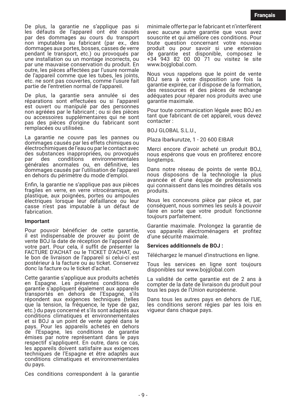De plus, la garantie ne s'applique pas si les défauts de l'appareil ont été causés par des dommages au cours du transport<br>non imputables au fabricant (par ex., des dommages aux portes, bosses, casses de verre pendant le transport, etc.) ou provoqués par une installation ou un montage incorrects, ou par une mauvaise conservation du produit. En outre. les pièces affectées par l'usure normale de l'appareil comme que les tubes, les joints, etc. ne sont pas couvertes, comme l'usure fait partie de l'entretien normal de l'appareil.

De plus, la garantie sera annulée si des réparations sont effectuées ou si l'appareil est ouvert ou manipulé par des personnes non agréées par le fabricant ; ou si des pièces ou accessoires supplémentaires qui ne sont pas des pièces d'origine du fabricant sont remplacées ou utilisées.

La garantie ne couvre pas les pannes ou dommages causés par les effets chimiques ou électrochimiques de l'eau ou par le contact avec des substances inappropriées, ou provoqués par des conditions environnementales générales anormales ou, en définitive, les dommages causés par l'utilisation de l'appareil en dehors du périmètre du mode d'emploi.

Enfin, la garantie ne s'applique pas aux pièces fragiles en verre, en verre vitrocéramique, en plastique, aux poignées, portes ou ampoules électriques lorsque leur défaillance ou leur casse n'est pas imputable à un défaut de fabrication.

#### Important

Pour pouvoir bénéficier de cette garantie, il est indispensable de prouver au point de vente BOJ la date de réception de l'appareil de votre part. Pour cela, il suffit de présenter la FACTURE D'ACHAT ou le TICKET D'ACHAT, ou le bon de livraison de l'appareil si celui-ci est postérieur à la facture ou au ticket. Conservez donc la facture ou le ticket d'achat

Cette garantie s'applique aux produits achetés en Espagne. Les présentes conditions de garantie s'appliquent également aux appareils transportés en dehors de l'Espagne, s'ils répondent aux exigences techniques (telles que la tension, la fréquence, le type de gaz, etc.) du pays concerné et s'ils sont adaptés aux conditions climatiques et environnementales et si BOJ a un point de vente agréé dans le pays. Pour les appareils achetés en dehors de l'Espagne, les conditions de garantie émises par notre représentant dans le pays respectif s'appliquent. En outre, dans ce cas, les appareils doivent satisfaire aux exigences techniques de l'Espagne et être adaptés aux conditions climatiques et environnementales du pays.

Ces conditions correspondent à la garantie

minimale offerte par le fabricant et n'interfèrent avec aucune autre garantie que vous avez souscrite et qui améliore ces conditions. Pour boute question concernant votre nouveau<br>produit ou pour savoir si une extension<br>de garantie est disponible, composez le<br>+34 943 82 00 00 71 ou visitez le site www.bojglobal.com.

Nous vous rappelons que le point de vente BOJ sera à votre disposition une fois la garantie expirée, car il dispose de la formation, des ressources et des pièces de rechange adéquates pour réparer nos produits avec une garantie maximale.

Pour toute communication légale avec BOJ en tant que fabricant de cet appareil, vous devez contacter:

**BOJ GLOBAL S.L.U..** 

Plaza Ibarkurutze, 1 - 20 600 EIBAR

Merci encore d'avoir acheté un produit BOJ. nous espérons que vous en profiterez encore longtemps.

Dans notre réseau de points de vente BOJ, nous disposons de la technologie la plus avancée et d'une équipe de professionnels qui connaissent dans les moindres détails vos produits.

Nous les concevons pièce par pièce et, par conséquent, nous sommes les seuls à pouvoir faire en sorte que votre produit fonctionne toujours parfaitement.

Garantie maximale. Prolongez la garantie de vos appareils électroménagers et profitez d'une sécurité maximale.

## Services additionnels de BOJ :

Téléchargez le manuel d'instructions en ligne.

Tous les services en ligne sont toujours disponibles sur www.bojglobal.com

La validité de cette garantie est de 2 ans à compter de la date de livraison du produit pour tous les pays de l'Union européenne.

Dans tous les autres pays en dehors de l'UE, les conditions seront régies par les lois en viqueur dans chaque pays.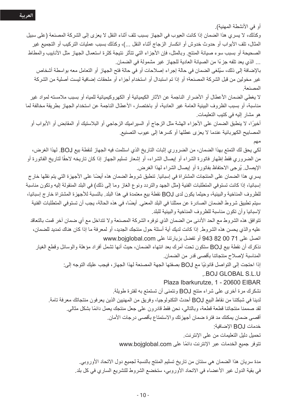أو في الأنشطة المهنية).

وكذلك، لا يسر ي هذا الضمان إذا كانت العيوب في الجهاز بسبب تلف أثناء النقل لا يعز ي إلى الشركة المصنعة (على سبيل المثال، تلف الأبواب أو حدوث خدوش أو انكسار الزجاج أثناء النقل ...)، وكذلك بسبب عمليات التركيب أو التجميع غير الصحيحة أو بسبب سوء صيانة المنتج وبالمثل، فإن الأجزاء التي تتأثر نتيجة كثرة استعمال الجهاز مثل الأنابيب والمطاط ... الذي يعد تلفه جزءًا من الصيانة العادية للجهاز غير مشمولة في الضمان.

بالإضافة إلى ذلك، سيُلغى الضمان في حالة إجراء إصلاحات أو في حالة فتح الجهاز أو التعامل معه بو اسطة أشخاص غير مخولين من قبل الشركة المصنعة؛ أو إذا تم استبدال أو استخدام أجزاء أو ملحقات إضافية ليست أصلية من الشركة المصنعة

لا بغطي الضمان الأعطال أو الأضر ار الناجمة عن الآثار الكيميائية أو الكهر وكيميائية للمياه أو بسبب ملامسته لمو اد غير مناسبة، أو بسبب الظروف البيئية العامة غير العادية، أو باختصار، الأعطال الناجمة عن استخدام الجهاز بطريقة مخالفة لما هو مشار البه في كتبب التعليمات.

أخيرًا، لا ينطبق الضمان على الأجزاء الهشة مثل الزجاج أو السير اميك الزجاجي أو البلاستيك أو المقابض أو الأبواب أو المصابيح الكهربائية عندما لا يعزى عطلها أو كسر ها إلى عيوب التصنيع.

مهم

لكي يحق لك التمتع بهذا الضمان، من الضروري إثبات التاريخ الذي استلمت فيه الجهاز لنقطة بيع BOJ. لهذا الغرض، من الضروري فقط إظهار فاتورة الشراء أو إيصال الشراء، أو إشعار تسليم الجهاز إذا كان تاريخه لاحقًا لتاريخ الفاتورة أو الإيصال. يُرجى الاحتفاظ بفاتورة أو إيصال الشراء لهذا الغرض.

يسر ي هذا الضمان على المنتجات المشتر اة في إسبانيا. تنطبق شر وط الضمان هذه أيضًا على الأجهزة التي يتم نقلها خار ج إسبانيا، إذا كانت تستوفي المتطلبات الفنية (مثل الجهد والتردد ونوع الغاز وما إلى ذلك) في البلد المنقولة إليه وتكون مناسبة للظروف المناخية والبيئية، وحيثما يكون لدي لBO نقطة بيع معتمدة في هذا البلد. بالنسبة للأجهزة المشتراة خارج إسبانيا، سيتم تطبيق شروط الضمان الصادر ةعن ممثلنا في البلد المعني. أيضًا، في هذه الحالة، يجب أن تستوفي المتطلبات الفنية لإسبانيا وأن تكون مناسبة للظروف المناخية والبيئية للبلد

تتوافق هذه الشروط مع الحد الأدني من الضمان الذي توفره الشركة المصنعة ولا تتداخل مع أي ضمان آخر قمت بالتعاقد عليه والذي يحسن هذه الشروط. إذا كانت لديك أية أسئلة حول منتجك الجديد، أو لمعرفة ما إذا كان هناك تمديد للضمان، اتصل على 71 00 82 943 أو تفضل بزيارتنا على www.bojglobal.com

نذكرك أن نقطة بيع لBO ستكون تحت أمرك بعد انتهاء الضمان، حيث أنها تشمل أفراد مؤهلة والوسائل وقطع الغيار المناسبة لإصلاح منتجاتنا بأقصى قدر من الضمان.

> اذا احتجت إلى التواصل قانونيًا مع لBO بصفتها الجهة المصنعة لهذا الجهاز ، فيجب عليك التوجه إلى: .. BOJ GLOBAL S.L.U

> > Plaza Ibarkurutze, 1 - 20600 EIBAR

نشكرك مرة أخرى على شراء منتج BOJ ونتمنى أن تستمتع به لفترة طويلة. لدينا في شبكتنا من نقاط البيع لBO أحدث التكنولوجيا، وفريق من المهنيين الذين يعرفون منتجاتك معرفة تامة. لقد صممنا منتجاتنا قطعة قطعة، وبالنالي، نحن فقط قادرون على جعل منتجك يعمل دائمًا بشكل مثالي. أقصبي ضمان يمكنك مد فترة ضمان أجهزتك والاستمتاع بأقصبي درجات الأمان. خدمات BOJ الإضافية: تحميل دليل التعليمات من على الإنترنت.

تتوفر جميع الخدمات عبر الإنترنت دائمًا على www.bojglobal.com

مدة سريان هذا الضمان هي سنتان من تاريخ تسليم المنتج بالنسبة لجميع دول الاتحاد الأوروبي. في بقية الدول غير الأعضاء في الاتحاد الأوروبي، ستخضع الشروط للتشريع الساري في كل بلد.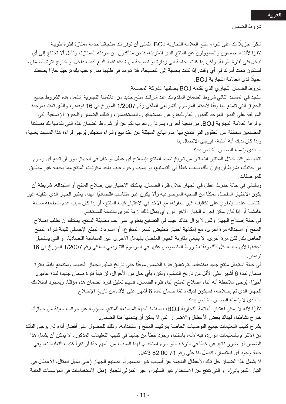شكرًا جزيلًا لك على شر اء منتج العلامة التجارية BOJ. نتمنى أن توفر لك منتجاتنا خدمة ممتاز ة لفتر ة طويلة. نظرًا لأننا المصنعون والمسؤولون عن المنتج الذي اشتريته، فنحن متأكدون من جودته الممتازة، ونأمل ألا تحتاج إلى أي تدخل فني لفتر ة طويلة. ولكن إذا كنت بحاجة إلى زيارة أو نصيحة من شبكة نقاط البيع لدينا، داخل أو خارج فترة الضمان، فسنكون تحت أمرك في أي وقت. إذا كنت بحاجة إلى النصيحة، فلا تتردد في طلبها منا. نرحب بك ترحيبًا حارًا بصفتك عميلًا لدى العلامة التجارية BOJ.

شروط الضمان التجاري الذي تقدمه لBO بصفتها الشركة المصنعة.

ستجد في المستند التالي شروط الضمان المقدم لك عند شرائك منتج جديد من علامتنا التجارية. تشمل هذه الشروط جميع الحقوق التي تتمتع بها وفقًا لأحكام المرسوم التشريعي الملكي رقم 1/2007 المؤرخ في 16 نوفمبر ، والذي تمت بموجبه الموافقة على النص الموحد للقانون العام للدفاع عن المستهلكين والمستخدمين، وكذلك الضمان والحقوق الإضافية التي توفر ها العلامة التجارية BOJ. من ناحية أخرى، يسرنا أن نعرب لكم عن أن شروط الضمان هذه التي نقدمها لك بصفتنا المصنعين مختلفة عن الحقوق التي تتمتع بها أمام البائع المنبثقة عن عقد بيع وشراء منتجك. يُرجى قراءة هذا المستند بعناية، وإذا كان لديك أية أسئلة، فيرجى الاتصال بنا.

ما الذي يشمله الضمان الخاص بك؟

نتعهد شركتنا خلال السنتين التاليتين من تاريخ تسليم المنتج بإصلاح أي عطل أو خلل في الجهاز دون أن تدفع أي رسوم من جانبك، بشرط أن يكون ذلك بسبب خطأ في التصنيع، أو بسبب وجود عيب بأحد مكونات المنتج مما يجعله غير مطابق للمو اصفات

وبالتالي في حالة حدوث عطل في الجهاز خلال فترة الضمان، يمكنك الاختيار بين إصلاح المنتج أو استبداله، شريطة أن يكون الاختيار المفضل ممكنًا من الناحية الموضوعية وألا يكون غير متناسب اقتصاديًا. لمهذا، يعتبر الخيار الذي انتقيته غير متناسب عندما ينطوي على تكاليف غير معقولة، مع الأخذ في الاعتبار قيمة المنتج، أو إذا كان سبب عدم المطابقة مسألة هامشية أو إذا كان يمكن إجراء الخيار الآخر دون أي يمثل ذلك أزمة كبرى بالنسبة للمستخدم.

في حالة إصلاح الجهاز ولكن لا يزال هناك عيب في التصنيع ينطوي على عدم مطابقة المنتج، يمكنك أن تطلب إصلاح المنتج أو استبداله مرة أخرى، مع إمكانية اختيار تخفيض السعر المدفوع، أو استرداد المبلغ الإجمالي لقيمة شراء المنتج الخاص بك. لكن مرة أخرى، لا ينبغي مقارنة الخيار المفضل بالبدائل الأخرى غير المتناسبة اقتصاديًا، أو التي يستحيل تحقيقها لأي سبب، كل ذلك وفقًا للشروط المنصوص عليها في المرسوم التشريعي الملكي رقم 1/2007 المؤرخ في 16 نو فمبر

في حالة استبدال منتج جديد بمنتجك، يتم تعليق فترة الضمان مؤقتًا حتى تاريخ تسليم الجهاز الجديد، وستتمتع دائمًا بفترة ضمان لمدة 6 أشهر على الأقل من تاريخ التسليم، ولكن، بأي حال من الأحوال، لن تبدأ فترة ضمان جديدة لمدة عامين. أخبرًا، يُرجى ملاحظة أنه أثناء إصلاح المنتج أثناء فترة الضمان، فسيتم تعليق فترة الضمان هذه مؤقتًا، وبمجرد استلامك للجهاز الذي تم إصلاحه، فسيكون لديك دائمًا ضمان لمدة 6 أشهر على الأقل من تاريخ الإصلاح. ما الذي لا يشمله الضمان الخاص بك؟

نظرًا لأنه لا يمكن اعتبار العلامة التجارية لBOJ، بصفتها الجهة المصنعة للمنتج، مسؤولة عن جوانب معينة من جهازك خارج نشاطنا، فهناك بعض الأعطال والأضرار التي لا يمكن أن يشملها هذا الضمان

يثىر ح كتيب التعليمات جميع التوصيات الخاصة بتركيب المنتج واستخدامه، وذلك للحصول على أفضل أداء له. يرجى التأكد من الالتزام بالتعليمات الواردة فيه لأنه، باستثناء وجود خطأ من جانبنا في كتيب التعليمات المذكور، لا يمكن أن يشمل هذا الضمان أي ضرر ناتج عن خطأ في التركيب أو سوء استخدام. لهذا السبب، من المهم جدًا أن تقرأ كتيب التعليمات، وفي حالة وجود أي استفسار ، انصل بنا على رقم 71 00 82 943.

لا يشمل هذا الضمان حل تلك الأعطال الناجمة عن أسباب غير تصميم أو تصنيع الجهاز (على سبيل المثال، الأعطال في التيار الكهربائي)، أو التي تنتج عن الاستخدام غير السليم أو غير المنزلي للجهاز (مثل الاستخدامات في المؤسسات العامة